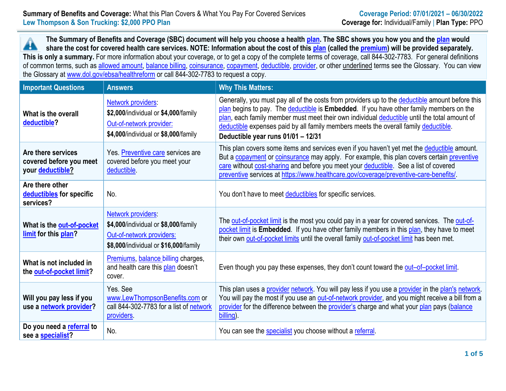**The Summary of Benefits and Coverage (SBC) document will help you choose a health [plan.](https://www.healthcare.gov/sbc-glossary/#plan) The SBC shows you how you and the [plan](https://www.healthcare.gov/sbc-glossary/#plan) would**  $\blacktriangle$ **share the cost for covered health care services. NOTE: Information about the cost of this [plan](https://www.healthcare.gov/sbc-glossary/#plan) (called the [premium\)](https://www.healthcare.gov/sbc-glossary/#premium) will be provided separately. This is only a summary.** For more information about your coverage, or to get a copy of the complete terms of coverage, call 844-302-7783. For general definitions of common terms, such as [allowed amount,](https://www.healthcare.gov/sbc-glossary/#allowed-amount) [balance billing,](https://www.healthcare.gov/sbc-glossary/#balance-billing) [coinsurance,](https://www.healthcare.gov/sbc-glossary/#coinsurance) [copayment,](https://www.healthcare.gov/sbc-glossary/#copayment) [deductible,](https://www.healthcare.gov/sbc-glossary/#deductible) [provider,](https://www.healthcare.gov/sbc-glossary/#provider) or other underlined terms see the Glossary. You can view the Glossary at [www.dol.gov/ebsa/healthreform](../../../../../data/PUBLIC/Onboarding/SBC%20Template/www.dol.gov/ebsa/healthreform) or call 844-302-7783 to request a copy.

| <b>Important Questions</b>                                        | <b>Answers</b>                                                                                                                   | <b>Why This Matters:</b>                                                                                                                                                                                                                                                                                                                                                                                                |  |  |
|-------------------------------------------------------------------|----------------------------------------------------------------------------------------------------------------------------------|-------------------------------------------------------------------------------------------------------------------------------------------------------------------------------------------------------------------------------------------------------------------------------------------------------------------------------------------------------------------------------------------------------------------------|--|--|
| What is the overall<br>deductible?                                | Network providers:<br>\$2,000/individual or \$4,000/family<br>Out-of-network provider:<br>\$4,000/individual or \$8,000/family   | Generally, you must pay all of the costs from providers up to the deductible amount before this<br>plan begins to pay. The deductible is Embedded. If you have other family members on the<br>plan, each family member must meet their own individual deductible until the total amount of<br>deductible expenses paid by all family members meets the overall family deductible.<br>Deductible year runs 01/01 - 12/31 |  |  |
| Are there services<br>covered before you meet<br>your deductible? | Yes. Preventive care services are<br>covered before you meet your<br>deductible.                                                 | This plan covers some items and services even if you haven't yet met the deductible amount.<br>But a copayment or coinsurance may apply. For example, this plan covers certain preventive<br>care without cost-sharing and before you meet your deductible. See a list of covered<br>preventive services at https://www.healthcare.gov/coverage/preventive-care-benefits/                                               |  |  |
| Are there other<br>deductibles for specific<br>services?          | No.                                                                                                                              | You don't have to meet deductibles for specific services.                                                                                                                                                                                                                                                                                                                                                               |  |  |
| What is the out-of-pocket<br>limit for this plan?                 | Network providers:<br>\$4,000/individual or \$8,000/family<br>Out-of-network providers:<br>\$8,000/individual or \$16,000/family | The out-of-pocket limit is the most you could pay in a year for covered services. The out-of-<br>pocket limit is Embedded. If you have other family members in this plan, they have to meet<br>their own out-of-pocket limits until the overall family out-of-pocket limit has been met.                                                                                                                                |  |  |
| What is not included in<br>the out-of-pocket limit?               | Premiums, balance billing charges,<br>and health care this plan doesn't<br>cover.                                                | Even though you pay these expenses, they don't count toward the out-of-pocket limit.                                                                                                                                                                                                                                                                                                                                    |  |  |
| Will you pay less if you<br>use a network provider?               | Yes, See<br>www.LewThompsonBenefits.com or<br>call 844-302-7783 for a list of network<br>providers.                              | This plan uses a provider network. You will pay less if you use a provider in the plan's network.<br>You will pay the most if you use an out-of-network provider, and you might receive a bill from a<br>provider for the difference between the provider's charge and what your plan pays (balance<br>billing).                                                                                                        |  |  |
| Do you need a referral to<br>see a specialist?                    | No.                                                                                                                              | You can see the specialist you choose without a referral.                                                                                                                                                                                                                                                                                                                                                               |  |  |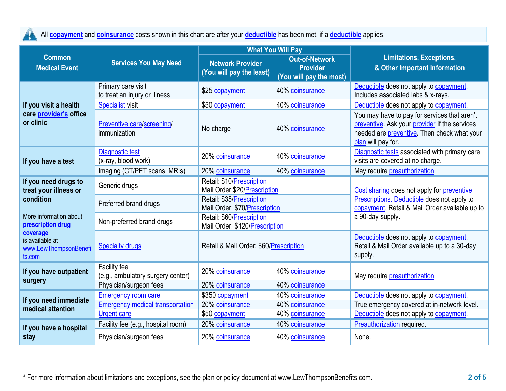All **[copayment](https://www.healthcare.gov/sbc-glossary/#copayment)** and **[coinsurance](https://www.healthcare.gov/sbc-glossary/#coinsurance)** costs shown in this chart are after your **[deductible](https://www.healthcare.gov/sbc-glossary/#deductible)** has been met, if a **[deductible](https://www.healthcare.gov/sbc-glossary/#deductible)** applies. 4

|                                                                |                                                     |                                                                                                                            | <b>What You Will Pay</b> |                                                                                                                                                                    |  |
|----------------------------------------------------------------|-----------------------------------------------------|----------------------------------------------------------------------------------------------------------------------------|--------------------------|--------------------------------------------------------------------------------------------------------------------------------------------------------------------|--|
| <b>Common</b><br><b>Medical Event</b>                          | <b>Services You May Need</b>                        | <b>Out-of-Network</b><br><b>Network Provider</b><br><b>Provider</b><br>(You will pay the least)<br>(You will pay the most) |                          | <b>Limitations, Exceptions,</b><br>& Other Important Information                                                                                                   |  |
|                                                                | Primary care visit<br>to treat an injury or illness | \$25 copayment                                                                                                             | 40% coinsurance          | Deductible does not apply to copayment.<br>Includes associated labs & x-rays.                                                                                      |  |
| If you visit a health                                          | <b>Specialist visit</b>                             | \$50 copayment                                                                                                             | 40% coinsurance          | Deductible does not apply to copayment.                                                                                                                            |  |
| care provider's office<br>or clinic                            | Preventive care/screening/<br>immunization          | No charge                                                                                                                  | 40% coinsurance          | You may have to pay for services that aren't<br>preventive. Ask your provider if the services<br>needed are preventive. Then check what your<br>plan will pay for. |  |
| If you have a test                                             | Diagnostic test<br>(x-ray, blood work)              | 20% coinsurance                                                                                                            | 40% coinsurance          | Diagnostic tests associated with primary care<br>visits are covered at no charge.                                                                                  |  |
|                                                                | Imaging (CT/PET scans, MRIs)                        | 20% coinsurance                                                                                                            | 40% coinsurance          | May require preauthorization.                                                                                                                                      |  |
| If you need drugs to<br>treat your illness or                  | Generic drugs                                       | Retail: \$10/Prescription<br>Mail Order: \$20/Prescription                                                                 |                          | Cost sharing does not apply for preventive<br>Prescriptions. Deductible does not apply to<br>copayment. Retail & Mail Order available up to<br>a 90-day supply.    |  |
| condition                                                      | Preferred brand drugs                               | Retail: \$35/Prescription<br>Mail Order: \$70/Prescription                                                                 |                          |                                                                                                                                                                    |  |
| More information about<br>prescription drug                    | Non-preferred brand drugs                           | Retail: \$60/Prescription<br>Mail Order: \$120/Prescription                                                                |                          |                                                                                                                                                                    |  |
| coverage<br>is available at<br>www.LewThompsonBenefi<br>ts.com | <b>Specialty drugs</b>                              | Retail & Mail Order: \$60/Prescription                                                                                     |                          | Deductible does not apply to copayment.<br>Retail & Mail Order available up to a 30-day<br>supply.                                                                 |  |
| If you have outpatient<br>surgery                              | Facility fee<br>(e.g., ambulatory surgery center)   | 20% coinsurance                                                                                                            | 40% coinsurance          | May require preauthorization.                                                                                                                                      |  |
|                                                                | Physician/surgeon fees                              | 20% coinsurance                                                                                                            | 40% coinsurance          |                                                                                                                                                                    |  |
| If you need immediate                                          | <b>Emergency room care</b>                          | \$350 copayment                                                                                                            | 40% coinsurance          | Deductible does not apply to copayment.                                                                                                                            |  |
| medical attention                                              | <b>Emergency medical transportation</b>             | 20% coinsurance                                                                                                            | 40% coinsurance          | True emergency covered at in-network level.                                                                                                                        |  |
|                                                                | <b>Urgent care</b>                                  | \$50 copayment                                                                                                             | 40% coinsurance          | Deductible does not apply to copayment.                                                                                                                            |  |
| If you have a hospital                                         | Facility fee (e.g., hospital room)                  | 20% coinsurance                                                                                                            | 40% coinsurance          | <b>Preauthorization</b> required.                                                                                                                                  |  |
| stay                                                           | Physician/surgeon fees                              | 20% coinsurance                                                                                                            | 40% coinsurance          | None.                                                                                                                                                              |  |

\* For more information about limitations and exceptions, see the plan or policy document at www.LewThompsonBenefits.com. **2 of 5**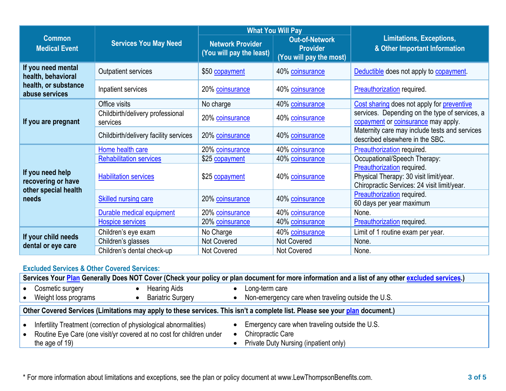|                                                                |                                              |                                                     | <b>What You Will Pay</b>                                            | <b>Limitations, Exceptions,</b><br>& Other Important Information                                                    |  |
|----------------------------------------------------------------|----------------------------------------------|-----------------------------------------------------|---------------------------------------------------------------------|---------------------------------------------------------------------------------------------------------------------|--|
| <b>Common</b><br><b>Medical Event</b>                          | <b>Services You May Need</b>                 | <b>Network Provider</b><br>(You will pay the least) | <b>Out-of-Network</b><br><b>Provider</b><br>(You will pay the most) |                                                                                                                     |  |
| If you need mental<br>health, behavioral                       | <b>Outpatient services</b>                   | \$50 copayment                                      | 40% coinsurance                                                     | Deductible does not apply to copayment.                                                                             |  |
| health, or substance<br>abuse services                         | Inpatient services                           | 20% coinsurance                                     | 40% coinsurance                                                     | <b>Preauthorization</b> required.                                                                                   |  |
|                                                                | Office visits                                | No charge                                           | 40% coinsurance                                                     | Cost sharing does not apply for preventive                                                                          |  |
| If you are pregnant                                            | Childbirth/delivery professional<br>services | 20% coinsurance                                     | 40% coinsurance                                                     | services. Depending on the type of services, a<br>copayment or coinsurance may apply.                               |  |
|                                                                | Childbirth/delivery facility services        | 20% coinsurance                                     | 40% coinsurance                                                     | Maternity care may include tests and services<br>described elsewhere in the SBC.                                    |  |
|                                                                | Home health care                             | 20% coinsurance                                     | 40% coinsurance                                                     | Preauthorization required.                                                                                          |  |
|                                                                | <b>Rehabilitation services</b>               | \$25 copayment                                      | 40% coinsurance                                                     | Occupational/Speech Therapy:                                                                                        |  |
| If you need help<br>recovering or have<br>other special health | <b>Habilitation services</b>                 | \$25 copayment                                      | 40% coinsurance                                                     | Preauthorization required.<br>Physical Therapy: 30 visit limit/year.<br>Chiropractic Services: 24 visit limit/year. |  |
| needs                                                          | <b>Skilled nursing care</b>                  | 20% coinsurance                                     | 40% coinsurance                                                     | Preauthorization required.<br>60 days per year maximum                                                              |  |
|                                                                | Durable medical equipment                    | 20% coinsurance                                     | 40% coinsurance                                                     | None.                                                                                                               |  |
|                                                                | <b>Hospice services</b>                      | 20% coinsurance                                     | 40% coinsurance                                                     | Preauthorization required.                                                                                          |  |
|                                                                | Children's eye exam                          | No Charge                                           | 40% coinsurance                                                     | Limit of 1 routine exam per year.                                                                                   |  |
| If your child needs                                            | Children's glasses                           | <b>Not Covered</b>                                  | <b>Not Covered</b>                                                  | None.                                                                                                               |  |
| dental or eye care                                             | Children's dental check-up                   | <b>Not Covered</b>                                  | Not Covered                                                         | None.                                                                                                               |  |

## **Excluded Services & Other Covered Services:**

|                                                                                                                                                             | Services Your Plan Generally Does NOT Cover (Check your policy or plan document for more information and a list of any other excluded services.) |  |                          |  |                                                                                                                     |  |  |
|-------------------------------------------------------------------------------------------------------------------------------------------------------------|--------------------------------------------------------------------------------------------------------------------------------------------------|--|--------------------------|--|---------------------------------------------------------------------------------------------------------------------|--|--|
|                                                                                                                                                             | Cosmetic surgery                                                                                                                                 |  | <b>Hearing Aids</b>      |  | Long-term care                                                                                                      |  |  |
|                                                                                                                                                             | Weight loss programs                                                                                                                             |  | <b>Bariatric Surgery</b> |  | Non-emergency care when traveling outside the U.S.                                                                  |  |  |
|                                                                                                                                                             | Other Covered Services (Limitations may apply to these services. This isn't a complete list. Please see your plan document.)                     |  |                          |  |                                                                                                                     |  |  |
| Infertility Treatment (correction of physiological abnormalities)<br>Routine Eye Care (one visit/yr covered at no cost for children under<br>the age of 19) |                                                                                                                                                  |  |                          |  | Emergency care when traveling outside the U.S.<br><b>Chiropractic Care</b><br>Private Duty Nursing (inpatient only) |  |  |

\* For more information about limitations and exceptions, see the plan or policy document at www.LewThompsonBenefits.com. **3 of 5**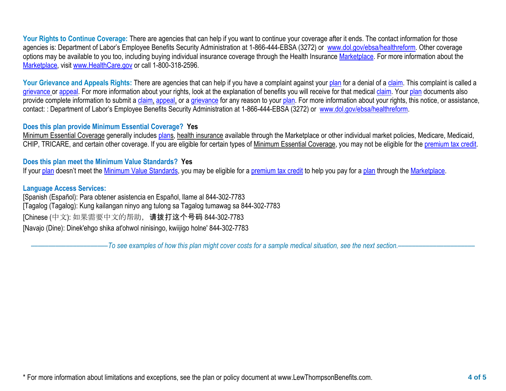Your Rights to Continue Coverage: There are agencies that can help if you want to continue your coverage after it ends. The contact information for those agencies is: Department of Labor's Employee Benefits Security Administration at 1-866-444-EBSA (3272) or [www.dol.gov/ebsa/healthreform.](http://www.dol.gov/ebsa/healthreform) Other coverage options may be available to you too, including buying individual insurance coverage through the Health Insurance [Marketplace.](https://www.healthcare.gov/sbc-glossary/#marketplace) For more information about the [Marketplace,](https://www.healthcare.gov/sbc-glossary/#marketplace) visit [www.HealthCare.gov](http://www.healthcare.gov/) or call 1-800-318-2596.

Your Grievance and Appeals Rights: There are agencies that can help if you have a complaint against your [plan](https://www.healthcare.gov/sbc-glossary/#plan) for a denial of a [claim.](https://www.healthcare.gov/sbc-glossary/#claim) This complaint is called a [grievance](https://www.healthcare.gov/sbc-glossary/#grievance) or [appeal.](https://www.healthcare.gov/sbc-glossary/#appeal) For more information about your rights, look at the explanation of benefits you will receive for that medical [claim.](https://www.healthcare.gov/sbc-glossary/#claim) Your [plan](https://www.healthcare.gov/sbc-glossary/#plan) documents also provide complete information to submit a [claim,](https://www.healthcare.gov/sbc-glossary/#claim) [appeal,](https://www.healthcare.gov/sbc-glossary/#appeal) or a [grievance](https://www.healthcare.gov/sbc-glossary/#grievance) for any reason to your [plan.](https://www.healthcare.gov/sbc-glossary/#plan) For more information about your rights, this notice, or assistance, contact: : Department of Labor's Employee Benefits Security Administration at 1-866-444-EBSA (3272) or [www.dol.gov/ebsa/healthreform.](http://www.dol.gov/ebsa/healthreform)

## **Does this plan provide Minimum Essential Coverage? Yes**

Minimum Essential Coverage generally includes [plans](https://www.healthcare.gov/sbc-glossary/#plan), health insurance available through the Marketplace or other individual market policies, Medicare, Medicaid, CHIP, TRICARE, and certain other coverage. If you are eligible for certain types of Minimum Essential Coverage, you may not be eligible for the [premium tax credit.](https://www.healthcare.gov/sbc-glossary/#premium-tax-credits)

## **Does this plan meet the Minimum Value Standards? Yes**

If your [plan](https://www.healthcare.gov/sbc-glossary/#plan) doesn't meet the [Minimum Value](https://www.healthcare.gov/sbc-glossary/#minimum-value-standard) Standards, you may be eligible for a [premium tax credit](https://www.healthcare.gov/sbc-glossary/#premium-tax-credits) to help you pay for a plan through th[e Marketplace.](https://www.healthcare.gov/sbc-glossary/#marketplace)

## **Language Access Services:**

[Spanish (Español): Para obtener asistencia en Español, llame al 844-302-7783 [Tagalog (Tagalog): Kung kailangan ninyo ang tulong sa Tagalog tumawag sa 844-302-7783 [Chinese (中文): 如果需要中文的帮助,请拨打这个号码 844-302-7783 [Navajo (Dine): Dinek'ehgo shika at'ohwol ninisingo, kwiijigo holne' 844-302-7783

––––––––––––––––––––––*To see examples of how this plan might cover costs for a sample medical situation, see the next section.–––––––––––*–––––––––––

\* For more information about limitations and exceptions, see the plan or policy document at www.LewThompsonBenefits.com. **4 of 5**